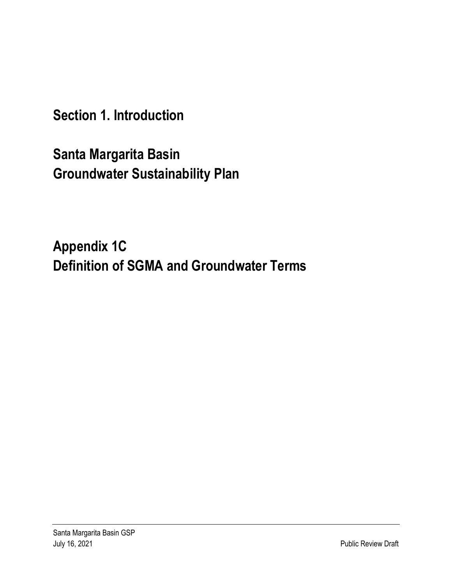**Section 1. Introduction** 

**Santa Margarita Basin Groundwater Sustainability Plan** 

**Appendix 1C Definition of SGMA and Groundwater Terms**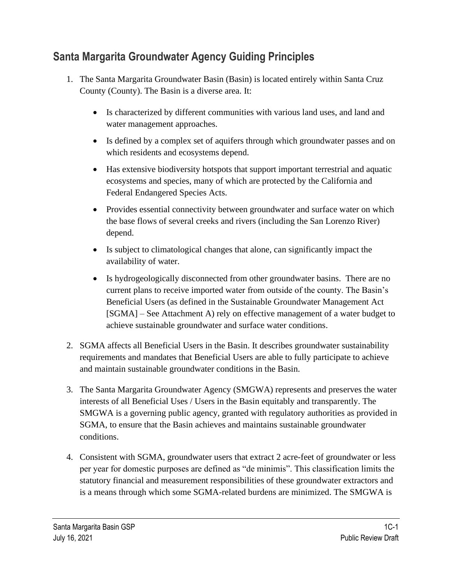## **Santa Margarita Groundwater Agency Guiding Principles**

- 1. The Santa Margarita Groundwater Basin (Basin) is located entirely within Santa Cruz County (County). The Basin is a diverse area. It:
	- Is characterized by different communities with various land uses, and land and water management approaches.
	- Is defined by a complex set of aquifers through which groundwater passes and on which residents and ecosystems depend.
	- Has extensive biodiversity hotspots that support important terrestrial and aquatic ecosystems and species, many of which are protected by the California and Federal Endangered Species Acts.
	- Provides essential connectivity between groundwater and surface water on which the base flows of several creeks and rivers (including the San Lorenzo River) depend.
	- Is subject to climatological changes that alone, can significantly impact the availability of water.
	- Is hydrogeologically disconnected from other groundwater basins. There are no current plans to receive imported water from outside of the county. The Basin's Beneficial Users (as defined in the Sustainable Groundwater Management Act [SGMA] – See Attachment A) rely on effective management of a water budget to achieve sustainable groundwater and surface water conditions.
- 2. SGMA affects all Beneficial Users in the Basin. It describes groundwater sustainability requirements and mandates that Beneficial Users are able to fully participate to achieve and maintain sustainable groundwater conditions in the Basin.
- 3. The Santa Margarita Groundwater Agency (SMGWA) represents and preserves the water interests of all Beneficial Uses / Users in the Basin equitably and transparently. The SMGWA is a governing public agency, granted with regulatory authorities as provided in SGMA, to ensure that the Basin achieves and maintains sustainable groundwater conditions.
- 4. Consistent with SGMA, groundwater users that extract 2 acre-feet of groundwater or less per year for domestic purposes are defined as "de minimis". This classification limits the statutory financial and measurement responsibilities of these groundwater extractors and is a means through which some SGMA-related burdens are minimized. The SMGWA is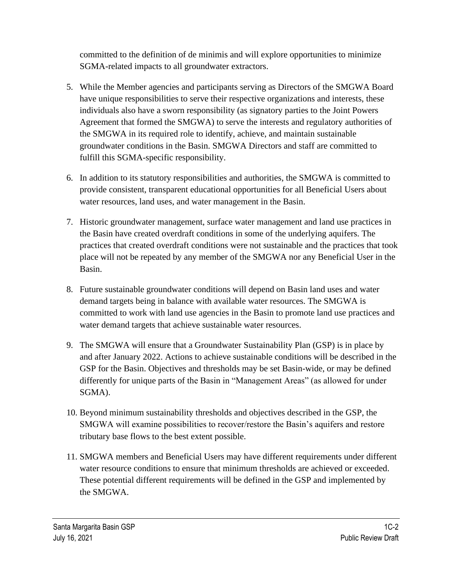committed to the definition of de minimis and will explore opportunities to minimize SGMA-related impacts to all groundwater extractors.

- 5. While the Member agencies and participants serving as Directors of the SMGWA Board have unique responsibilities to serve their respective organizations and interests, these individuals also have a sworn responsibility (as signatory parties to the Joint Powers Agreement that formed the SMGWA) to serve the interests and regulatory authorities of the SMGWA in its required role to identify, achieve, and maintain sustainable groundwater conditions in the Basin. SMGWA Directors and staff are committed to fulfill this SGMA-specific responsibility.
- 6. In addition to its statutory responsibilities and authorities, the SMGWA is committed to provide consistent, transparent educational opportunities for all Beneficial Users about water resources, land uses, and water management in the Basin.
- 7. Historic groundwater management, surface water management and land use practices in the Basin have created overdraft conditions in some of the underlying aquifers. The practices that created overdraft conditions were not sustainable and the practices that took place will not be repeated by any member of the SMGWA nor any Beneficial User in the Basin.
- 8. Future sustainable groundwater conditions will depend on Basin land uses and water demand targets being in balance with available water resources. The SMGWA is committed to work with land use agencies in the Basin to promote land use practices and water demand targets that achieve sustainable water resources.
- 9. The SMGWA will ensure that a Groundwater Sustainability Plan (GSP) is in place by and after January 2022. Actions to achieve sustainable conditions will be described in the GSP for the Basin. Objectives and thresholds may be set Basin-wide, or may be defined differently for unique parts of the Basin in "Management Areas" (as allowed for under SGMA).
- 10. Beyond minimum sustainability thresholds and objectives described in the GSP, the SMGWA will examine possibilities to recover/restore the Basin's aquifers and restore tributary base flows to the best extent possible.
- 11. SMGWA members and Beneficial Users may have different requirements under different water resource conditions to ensure that minimum thresholds are achieved or exceeded. These potential different requirements will be defined in the GSP and implemented by the SMGWA.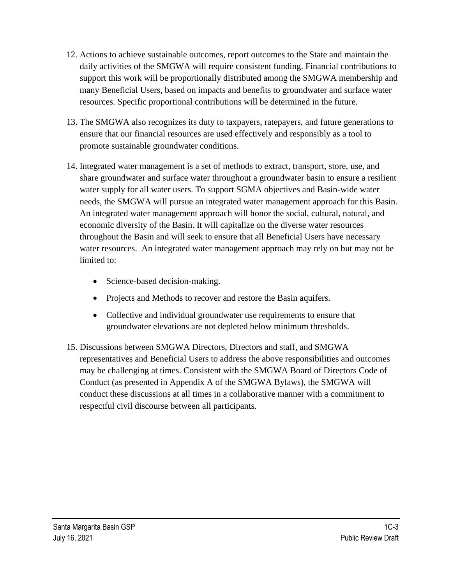- 12. Actions to achieve sustainable outcomes, report outcomes to the State and maintain the daily activities of the SMGWA will require consistent funding. Financial contributions to support this work will be proportionally distributed among the SMGWA membership and many Beneficial Users, based on impacts and benefits to groundwater and surface water resources. Specific proportional contributions will be determined in the future.
- 13. The SMGWA also recognizes its duty to taxpayers, ratepayers, and future generations to ensure that our financial resources are used effectively and responsibly as a tool to promote sustainable groundwater conditions.
- 14. Integrated water management is a set of methods to extract, transport, store, use, and share groundwater and surface water throughout a groundwater basin to ensure a resilient water supply for all water users. To support SGMA objectives and Basin-wide water needs, the SMGWA will pursue an integrated water management approach for this Basin. An integrated water management approach will honor the social, cultural, natural, and economic diversity of the Basin. It will capitalize on the diverse water resources throughout the Basin and will seek to ensure that all Beneficial Users have necessary water resources. An integrated water management approach may rely on but may not be limited to:
	- Science-based decision-making.
	- Projects and Methods to recover and restore the Basin aquifers.
	- Collective and individual groundwater use requirements to ensure that groundwater elevations are not depleted below minimum thresholds.
- 15. Discussions between SMGWA Directors, Directors and staff, and SMGWA representatives and Beneficial Users to address the above responsibilities and outcomes may be challenging at times. Consistent with the SMGWA Board of Directors Code of Conduct (as presented in Appendix A of the SMGWA Bylaws), the SMGWA will conduct these discussions at all times in a collaborative manner with a commitment to respectful civil discourse between all participants.